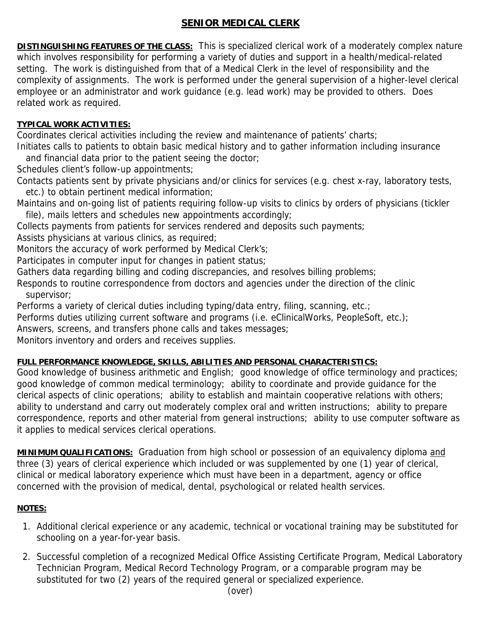## **SENIOR MEDICAL CLERK**

**DISTINGUISHING FEATURES OF THE CLASS:** This is specialized clerical work of a moderately complex nature which involves responsibility for performing a variety of duties and support in a health/medical-related setting. The work is distinguished from that of a Medical Clerk in the level of responsibility and the complexity of assignments. The work is performed under the general supervision of a higher-level clerical employee or an administrator and work guidance (e.g. lead work) may be provided to others. Does related work as required.

## **TYPICAL WORK ACTIVITIES:**

Coordinates clerical activities including the review and maintenance of patients' charts;

Initiates calls to patients to obtain basic medical history and to gather information including insurance and financial data prior to the patient seeing the doctor;

Schedules client's follow-up appointments;

Contacts patients sent by private physicians and/or clinics for services (e.g. chest x-ray, laboratory tests, etc.) to obtain pertinent medical information;

Maintains and on-going list of patients requiring follow-up visits to clinics by orders of physicians (tickler file), mails letters and schedules new appointments accordingly;

Collects payments from patients for services rendered and deposits such payments;

Assists physicians at various clinics, as required;

Monitors the accuracy of work performed by Medical Clerk's;

Participates in computer input for changes in patient status;

Gathers data regarding billing and coding discrepancies, and resolves billing problems;

Responds to routine correspondence from doctors and agencies under the direction of the clinic supervisor;

Performs a variety of clerical duties including typing/data entry, filing, scanning, etc.;

Performs duties utilizing current software and programs (i.e. eClinicalWorks, PeopleSoft, etc.);

Answers, screens, and transfers phone calls and takes messages;

Monitors inventory and orders and receives supplies.

## **FULL PERFORMANCE KNOWLEDGE, SKILLS, ABILITIES AND PERSONAL CHARACTERISTICS:**

Good knowledge of business arithmetic and English; good knowledge of office terminology and practices; good knowledge of common medical terminology; ability to coordinate and provide guidance for the clerical aspects of clinic operations; ability to establish and maintain cooperative relations with others; ability to understand and carry out moderately complex oral and written instructions; ability to prepare correspondence, reports and other material from general instructions; ability to use computer software as it applies to medical services clerical operations.

**MINIMUM QUALIFICATIONS:** Graduation from high school or possession of an equivalency diploma and three (3) years of clerical experience which included or was supplemented by one (1) year of clerical, clinical or medical laboratory experience which must have been in a department, agency or office concerned with the provision of medical, dental, psychological or related health services.

## **NOTES:**

- 1. Additional clerical experience or any academic, technical or vocational training may be substituted for schooling on a year-for-year basis.
- 2. Successful completion of a recognized Medical Office Assisting Certificate Program, Medical Laboratory Technician Program, Medical Record Technology Program, or a comparable program may be substituted for two (2) years of the required general or specialized experience.